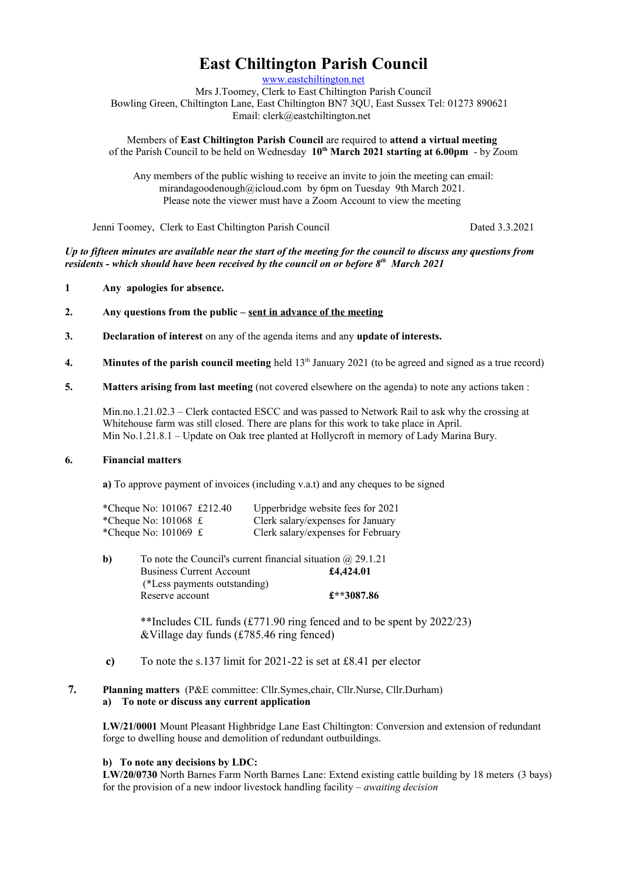# **East Chiltington Parish Council**

[www.eastchiltington.net](http://www.eastchiltington.net/)

Mrs J.Toomey, Clerk to East Chiltington Parish Council Bowling Green, Chiltington Lane, East Chiltington BN7 3QU, East Sussex Tel: 01273 890621 Email: cler[k@eastchiltington.net](mailto:jt@chiltington.wanadoo.co.uk) 

Members of **East Chiltington Parish Council** are required to **attend a virtual meeting**  of the Parish Council to be held on Wednesday **10th March 2021 starting at 6.00pm** - by Zoom

Any members of the public wishing to receive an invite to join the meeting can email: mirandagoodenough@icloud.com by 6pm on Tuesday 9th March 2021. Please note the viewer must have a Zoom Account to view the meeting

Jenni Toomey, Clerk to East Chiltington Parish Council Dated 3.3.2021

*Up to fifteen minutes are available near the start of the meeting for the council to discuss any questions from residents - which should have been received by the council on or before 8th March 2021*

## **1 Any apologies for absence.**

- **2. Any questions from the public sent in advance of the meeting**
- **3. Declaration of interest** on any of the agenda items and any **update of interests.**
- **4.** Minutes of the parish council meeting held 13<sup>th</sup> January 2021 (to be agreed and signed as a true record)
- **5. Matters arising from last meeting** (not covered elsewhere on the agenda) to note any actions taken :

Min.no.1.21.02.3 – Clerk contacted ESCC and was passed to Network Rail to ask why the crossing at Whitehouse farm was still closed. There are plans for this work to take place in April. Min No.1.21.8.1 – Update on Oak tree planted at Hollycroft in memory of Lady Marina Bury.

### **6. Financial matters**

**a)** To approve payment of invoices (including v.a.t) and any cheques to be signed

| *Cheque No: 101067 £212.40            | Upperbridge website fees for 2021  |
|---------------------------------------|------------------------------------|
| *Cheque No: $101068 \text{ } \pounds$ | Clerk salary/expenses for January  |
| *Cheque No: $101069 \text{ } \pounds$ | Clerk salary/expenses for February |

| b) | To note the Council's current financial situation $\omega$ 29.1.21 |            |  |  |
|----|--------------------------------------------------------------------|------------|--|--|
|    | <b>Business Current Account</b>                                    | £4,424.01  |  |  |
|    | (*Less payments outstanding)                                       |            |  |  |
|    | Reserve account                                                    | £**3087.86 |  |  |

\*\*Includes CIL funds (£771.90 ring fenced and to be spent by 2022/23) &Village day funds (£785.46 ring fenced)

- **c)** To note the s.137 limit for 2021-22 is set at £8.41 per elector
- **7. Planning matters** (P&E committee: Cllr.Symes,chair, Cllr.Nurse, Cllr.Durham) **a) To note or discuss any current application**

**LW/21/0001** Mount Pleasant Highbridge Lane East Chiltington: Conversion and extension of redundant forge to dwelling house and demolition of redundant outbuildings.

# **b) To note any decisions by LDC:**

**LW/20/0730** North Barnes Farm North Barnes Lane: Extend existing cattle building by 18 meters (3 bays) for the provision of a new indoor livestock handling facility – *awaiting decision*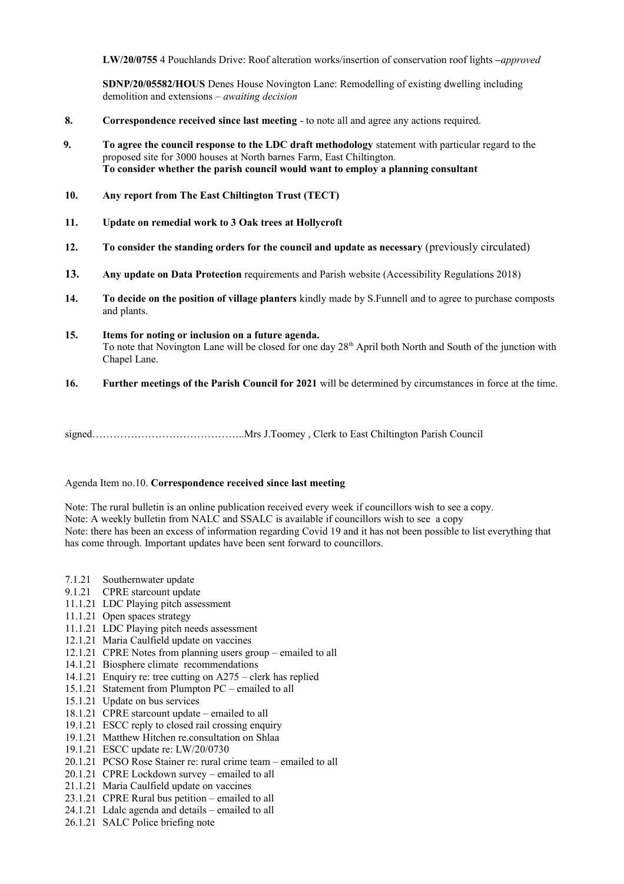**LW/20/0755** 4 Pouchlands Drive: Roof alteration works/insertion of conservation roof lights **–***approved*

**SDNP/20/05582/HOUS** Denes House Novington Lane: Remodelling of existing dwelling including demolition and extensions *– awaiting decision*

- **8. Correspondence received since last meeting**  to note all and agree any actions required.
- **9. To agree the council response to the LDC draft methodology** statement with particular regard to the proposed site for 3000 houses at North barnes Farm, East Chiltington. **To consider whether the parish council would want to employ a planning consultant**
- **10. Any report from The East Chiltington Trust (TECT)**
- **11. Update on remedial work to 3 Oak trees at Hollycroft**
- **12. To consider the standing orders for the council and update as necessary** (previously circulated)
- **13. Any update on Data Protection** requirements and Parish website (Accessibility Regulations 2018)
- **14. To decide on the position of village planters** kindly made by S.Funnell and to agree to purchase composts and plants.
- **15. Items for noting or inclusion on a future agenda.** To note that Novington Lane will be closed for one day  $28<sup>th</sup>$  April both North and South of the junction with Chapel Lane.
- **16. Further meetings of the Parish Council for 2021** will be determined by circumstances in force at the time.

signed……………………………………..Mrs J.Toomey , Clerk to East Chiltington Parish Council

## Agenda Item no.10. **Correspondence received since last meeting**

Note: The rural bulletin is an online publication received every week if councillors wish to see a copy. Note: A weekly bulletin from NALC and SSALC is available if councillors wish to see a copy Note: there has been an excess of information regarding Covid 19 and it has not been possible to list everything that has come through. Important updates have been sent forward to councillors.

- 7.1.21 Southernwater update
- 9.1.21 CPRE starcount update
- 11.1.21 LDC Playing pitch assessment
- 11.1.21 Open spaces strategy
- 11.1.21 LDC Playing pitch needs assessment
- 12.1.21 Maria Caulfield update on vaccines
- 12.1.21 CPRE Notes from planning users group emailed to all
- 14.1.21 Biosphere climate recommendations
- 14.1.21 Enquiry re: tree cutting on A275 clerk has replied
- 15.1.21 Statement from Plumpton PC emailed to all
- 15.1.21 Update on bus services
- 18.1.21 CPRE starcount update emailed to all
- 19.1.21 ESCC reply to closed rail crossing enquiry
- 19.1.21 Matthew Hitchen re.consultation on Shlaa
- 19.1.21 ESCC update re: LW/20/0730
- 20.1.21 PCSO Rose Stainer re: rural crime team emailed to all
- 20.1.21 CPRE Lockdown survey emailed to all
- 21.1.21 Maria Caulfield update on vaccines
- 23.1.21 CPRE Rural bus petition emailed to all
- 24.1.21 Ldalc agenda and details emailed to all
- 26.1.21 SALC Police briefing note